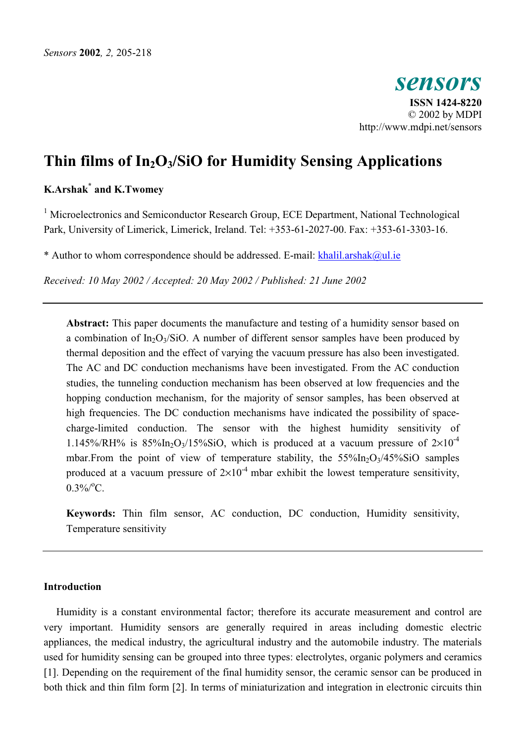

# **Thin films of In2O3/SiO for Humidity Sensing Applications**

# **K.Arshak\* and K.Twomey**

<sup>1</sup> Microelectronics and Semiconductor Research Group, ECE Department, National Technological Park, University of Limerick, Limerick, Ireland. Tel: +353-61-2027-00. Fax: +353-61-3303-16.

\* Author to whom correspondence should be addressed. E-mail: [khalil.arshak@ul.ie](mailto:khalil.arshak@ul.ie)

*Received: 10 May 2002 / Accepted: 20 May 2002 / Published: 21 June 2002* 

**Abstract:** This paper documents the manufacture and testing of a humidity sensor based on a combination of  $In_2O_3/SiO$ . A number of different sensor samples have been produced by thermal deposition and the effect of varying the vacuum pressure has also been investigated. The AC and DC conduction mechanisms have been investigated. From the AC conduction studies, the tunneling conduction mechanism has been observed at low frequencies and the hopping conduction mechanism, for the majority of sensor samples, has been observed at high frequencies. The DC conduction mechanisms have indicated the possibility of spacecharge-limited conduction. The sensor with the highest humidity sensitivity of 1.145%/RH% is  $85\%$ In<sub>2</sub>O<sub>3</sub>/15%SiO, which is produced at a vacuum pressure of  $2\times10^{-4}$ mbar. From the point of view of temperature stability, the  $55\%$ In<sub>2</sub>O<sub>3</sub>/45%SiO samples produced at a vacuum pressure of  $2\times10^{-4}$  mbar exhibit the lowest temperature sensitivity,  $0.3\%$ /°C.

**Keywords:** Thin film sensor, AC conduction, DC conduction, Humidity sensitivity, Temperature sensitivity

# **Introduction**

Humidity is a constant environmental factor; therefore its accurate measurement and control are very important. Humidity sensors are generally required in areas including domestic electric appliances, the medical industry, the agricultural industry and the automobile industry. The materials used for humidity sensing can be grouped into three types: electrolytes, organic polymers and ceramics [1]. Depending on the requirement of the final humidity sensor, the ceramic sensor can be produced in both thick and thin film form [2]. In terms of miniaturization and integration in electronic circuits thin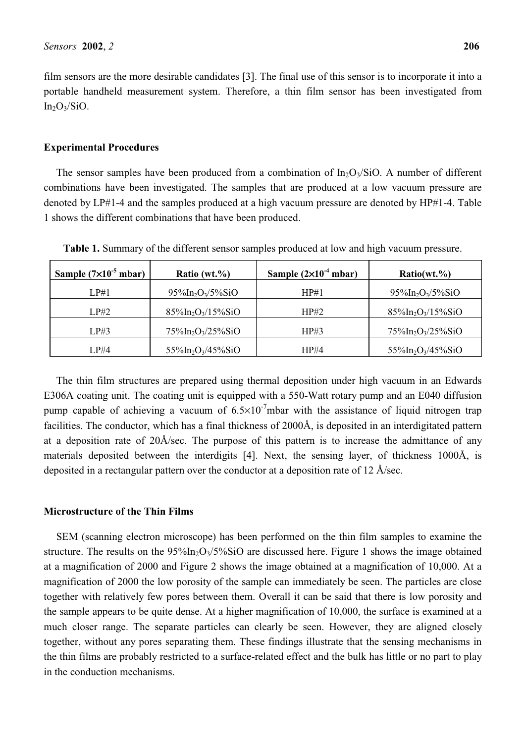film sensors are the more desirable candidates [3]. The final use of this sensor is to incorporate it into a portable handheld measurement system. Therefore, a thin film sensor has been investigated from  $In_2O_3/SiO.$ 

#### **Experimental Procedures**

The sensor samples have been produced from a combination of  $In_2O_3/SiO$ . A number of different combinations have been investigated. The samples that are produced at a low vacuum pressure are denoted by LP#1-4 and the samples produced at a high vacuum pressure are denoted by HP#1-4. Table 1 shows the different combinations that have been produced.

| Sample $(7\times10^{-5}$ mbar) | Ratio $(wt.^{9}\%)$                           | Sample $(2\times10^{-4}$ mbar) | Ratio(wt. %                                   |
|--------------------------------|-----------------------------------------------|--------------------------------|-----------------------------------------------|
| LP#1                           | $95\%$ In <sub>2</sub> O <sub>3</sub> /5%SiO  | HP#1                           | $95\%$ In <sub>2</sub> O <sub>3</sub> /5%SiO  |
| LP#2                           | $85\%$ In <sub>2</sub> O <sub>3</sub> /15%SiO | HP#2                           | $85\%$ In <sub>2</sub> O <sub>3</sub> /15%SiO |
| LP#3                           | $75\%$ In <sub>2</sub> O <sub>3</sub> /25%SiO | HP#3                           | $75\%$ In <sub>2</sub> O <sub>3</sub> /25%SiO |
| LP#4                           | $55\%$ In <sub>2</sub> O <sub>3</sub> /45%SiO | HP#4                           | $55\%$ In <sub>2</sub> O <sub>3</sub> /45%SiO |

**Table 1.** Summary of the different sensor samples produced at low and high vacuum pressure.

The thin film structures are prepared using thermal deposition under high vacuum in an Edwards E306A coating unit. The coating unit is equipped with a 550-Watt rotary pump and an E040 diffusion pump capable of achieving a vacuum of  $6.5 \times 10^{-7}$ mbar with the assistance of liquid nitrogen trap facilities. The conductor, which has a final thickness of 2000Å, is deposited in an interdigitated pattern at a deposition rate of 20Å/sec. The purpose of this pattern is to increase the admittance of any materials deposited between the interdigits [4]. Next, the sensing layer, of thickness 1000Å, is deposited in a rectangular pattern over the conductor at a deposition rate of 12 Å/sec.

## **Microstructure of the Thin Films**

SEM (scanning electron microscope) has been performed on the thin film samples to examine the structure. The results on the  $95\frac{\text{Mn}}{2}\text{O}_3/5\frac{\text{Mn}}{2}\text{O}_3$  are discussed here. Figure 1 shows the image obtained at a magnification of 2000 and Figure 2 shows the image obtained at a magnification of 10,000. At a magnification of 2000 the low porosity of the sample can immediately be seen. The particles are close together with relatively few pores between them. Overall it can be said that there is low porosity and the sample appears to be quite dense. At a higher magnification of 10,000, the surface is examined at a much closer range. The separate particles can clearly be seen. However, they are aligned closely together, without any pores separating them. These findings illustrate that the sensing mechanisms in the thin films are probably restricted to a surface-related effect and the bulk has little or no part to play in the conduction mechanisms.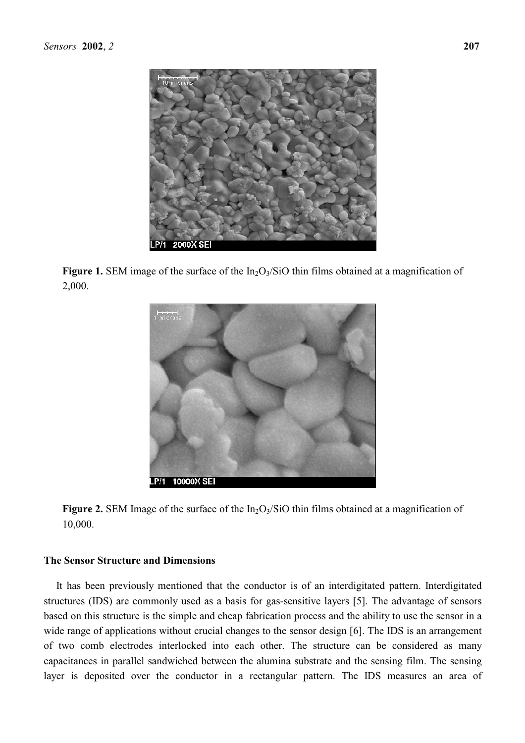

**Figure 1.** SEM image of the surface of the In<sub>2</sub>O<sub>3</sub>/SiO thin films obtained at a magnification of 2,000.



**Figure 2.** SEM Image of the surface of the  $In_2O<sub>3</sub>/SiO$  thin films obtained at a magnification of 10,000.

# **The Sensor Structure and Dimensions**

It has been previously mentioned that the conductor is of an interdigitated pattern. Interdigitated structures (IDS) are commonly used as a basis for gas-sensitive layers [5]. The advantage of sensors based on this structure is the simple and cheap fabrication process and the ability to use the sensor in a wide range of applications without crucial changes to the sensor design [6]. The IDS is an arrangement of two comb electrodes interlocked into each other. The structure can be considered as many capacitances in parallel sandwiched between the alumina substrate and the sensing film. The sensing layer is deposited over the conductor in a rectangular pattern. The IDS measures an area of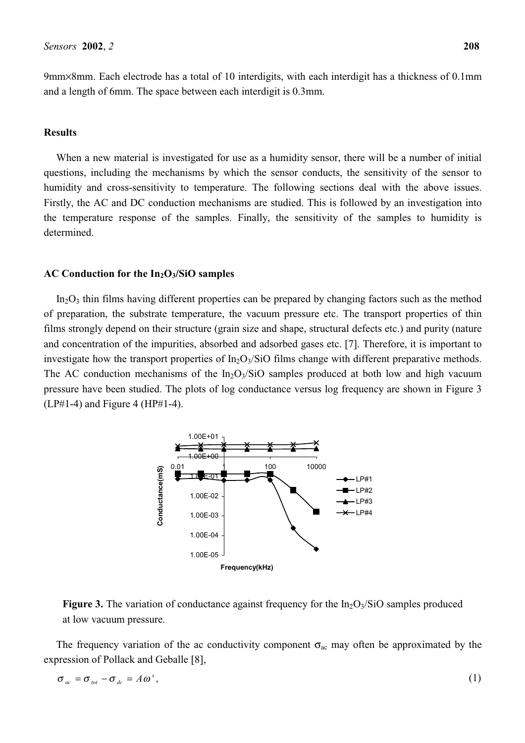9mm×8mm. Each electrode has a total of 10 interdigits, with each interdigit has a thickness of 0.1mm and a length of 6mm. The space between each interdigit is 0.3mm.

# **Results**

When a new material is investigated for use as a humidity sensor, there will be a number of initial questions, including the mechanisms by which the sensor conducts, the sensitivity of the sensor to humidity and cross-sensitivity to temperature. The following sections deal with the above issues. Firstly, the AC and DC conduction mechanisms are studied. This is followed by an investigation into the temperature response of the samples. Finally, the sensitivity of the samples to humidity is determined.

#### AC Conduction for the In<sub>2</sub>O<sub>3</sub>/SiO samples

 $In_2O_3$  thin films having different properties can be prepared by changing factors such as the method of preparation, the substrate temperature, the vacuum pressure etc. The transport properties of thin films strongly depend on their structure (grain size and shape, structural defects etc.) and purity (nature and concentration of the impurities, absorbed and adsorbed gases etc. [7]. Therefore, it is important to investigate how the transport properties of  $In_2O_3/SiO$  films change with different preparative methods. The AC conduction mechanisms of the  $In_2O<sub>3</sub>/SiO$  samples produced at both low and high vacuum pressure have been studied. The plots of log conductance versus log frequency are shown in Figure 3  $(LP#1-4)$  and Figure 4 (HP#1-4).



**Figure 3.** The variation of conductance against frequency for the  $In_2O_3/SiO$  samples produced at low vacuum pressure.

The frequency variation of the ac conductivity component  $\sigma_{ac}$  may often be approximated by the expression of Pollack and Geballe [8],

$$
\sigma_{ac} = \sigma_{tot} - \sigma_{dc} = A\omega^s,
$$
 (1)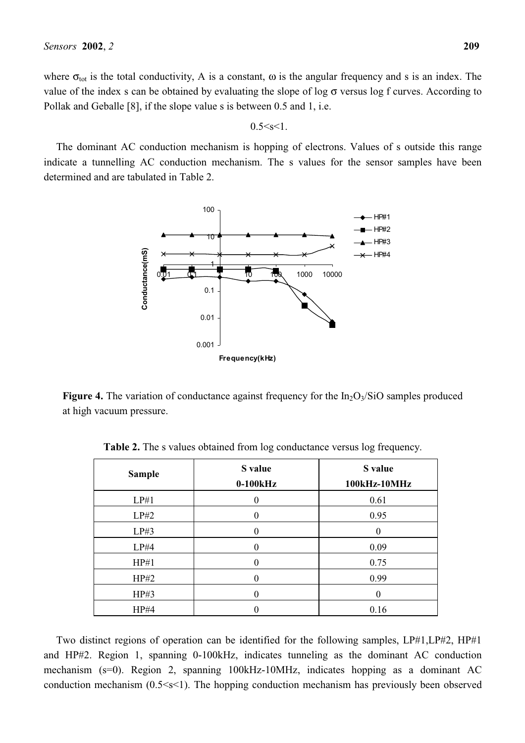where  $\sigma_{tot}$  is the total conductivity, A is a constant,  $\omega$  is the angular frequency and s is an index. The value of the index s can be obtained by evaluating the slope of log  $\sigma$  versus log f curves. According to Pollak and Geballe [8], if the slope value s is between 0.5 and 1, i.e.

 $0.5 < s < 1$ .

The dominant AC conduction mechanism is hopping of electrons. Values of s outside this range indicate a tunnelling AC conduction mechanism. The s values for the sensor samples have been determined and are tabulated in Table 2.



**Figure 4.** The variation of conductance against frequency for the  $In_2O<sub>3</sub>/SiO$  samples produced at high vacuum pressure.

| <b>Sample</b> | S value<br>$0-100kHz$ | S value<br>100kHz-10MHz |
|---------------|-----------------------|-------------------------|
| LP#1          |                       | 0.61                    |
| LP#2          |                       | 0.95                    |
| LP#3          |                       |                         |
| LP#4          |                       | 0.09                    |
| HP#1          |                       | 0.75                    |
| HP#2          |                       | 0.99                    |
| HP#3          |                       |                         |
| HP#4          |                       | 0.16                    |

**Table 2.** The s values obtained from log conductance versus log frequency.

Two distinct regions of operation can be identified for the following samples, LP#1,LP#2, HP#1 and HP#2. Region 1, spanning 0-100kHz, indicates tunneling as the dominant AC conduction mechanism (s=0). Region 2, spanning 100kHz-10MHz, indicates hopping as a dominant AC conduction mechanism (0.5<s<1). The hopping conduction mechanism has previously been observed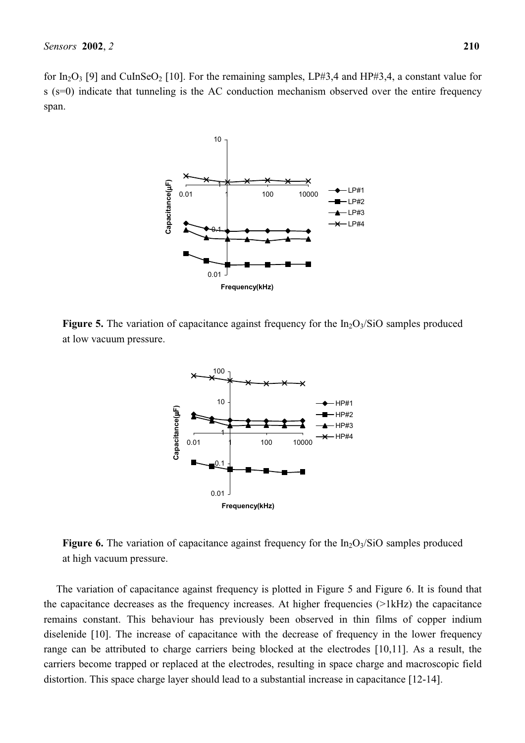for In<sub>2</sub>O<sub>3</sub> [9] and CuInSeO<sub>2</sub> [10]. For the remaining samples, LP#3,4 and HP#3,4, a constant value for s (s=0) indicate that tunneling is the AC conduction mechanism observed over the entire frequency span.



**Figure 5.** The variation of capacitance against frequency for the  $In_2O<sub>3</sub>/SiO$  samples produced at low vacuum pressure.



**Figure 6.** The variation of capacitance against frequency for the  $In_2O_3/SiO$  samples produced at high vacuum pressure.

The variation of capacitance against frequency is plotted in Figure 5 and Figure 6. It is found that the capacitance decreases as the frequency increases. At higher frequencies (>1kHz) the capacitance remains constant. This behaviour has previously been observed in thin films of copper indium diselenide [10]. The increase of capacitance with the decrease of frequency in the lower frequency range can be attributed to charge carriers being blocked at the electrodes [10,11]. As a result, the carriers become trapped or replaced at the electrodes, resulting in space charge and macroscopic field distortion. This space charge layer should lead to a substantial increase in capacitance [12-14].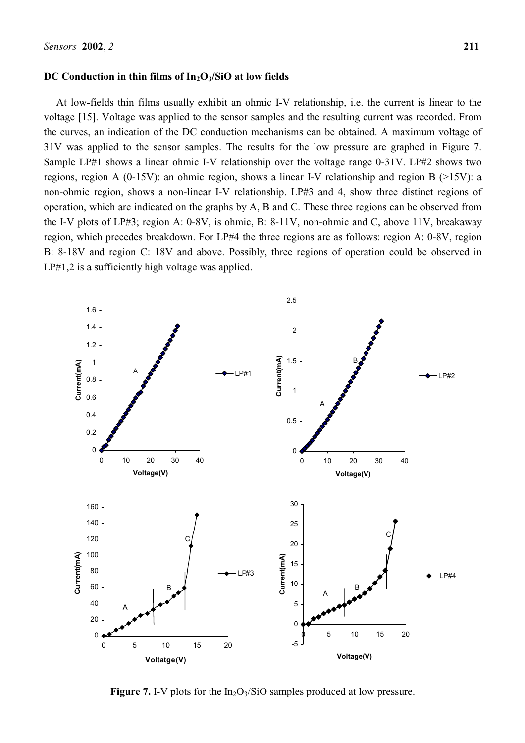## DC Conduction in thin films of In<sub>2</sub>O<sub>3</sub>/SiO at low fields

At low-fields thin films usually exhibit an ohmic I-V relationship, i.e. the current is linear to the voltage [15]. Voltage was applied to the sensor samples and the resulting current was recorded. From the curves, an indication of the DC conduction mechanisms can be obtained. A maximum voltage of 31V was applied to the sensor samples. The results for the low pressure are graphed in Figure 7. Sample LP#1 shows a linear ohmic I-V relationship over the voltage range 0-31V. LP#2 shows two regions, region A (0-15V): an ohmic region, shows a linear I-V relationship and region B (>15V): a non-ohmic region, shows a non-linear I-V relationship. LP#3 and 4, show three distinct regions of operation, which are indicated on the graphs by A, B and C. These three regions can be observed from the I-V plots of LP#3; region A: 0-8V, is ohmic, B: 8-11V, non-ohmic and C, above 11V, breakaway region, which precedes breakdown. For LP#4 the three regions are as follows: region A: 0-8V, region B: 8-18V and region C: 18V and above. Possibly, three regions of operation could be observed in LP#1,2 is a sufficiently high voltage was applied.



**Figure 7.** I-V plots for the  $In_2O_3/SiO$  samples produced at low pressure.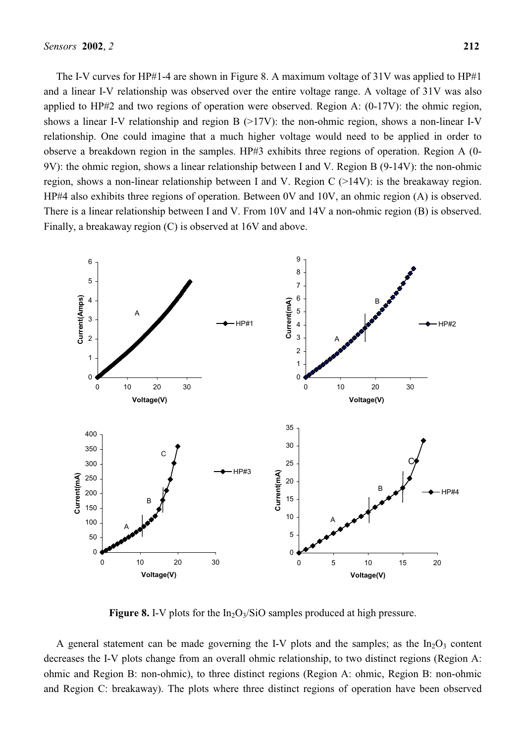The I-V curves for HP#1-4 are shown in Figure 8. A maximum voltage of 31V was applied to HP#1 and a linear I-V relationship was observed over the entire voltage range. A voltage of 31V was also applied to HP#2 and two regions of operation were observed. Region A: (0-17V): the ohmic region, shows a linear I-V relationship and region B  $(>17V)$ : the non-ohmic region, shows a non-linear I-V relationship. One could imagine that a much higher voltage would need to be applied in order to observe a breakdown region in the samples. HP#3 exhibits three regions of operation. Region A (0- 9V): the ohmic region, shows a linear relationship between I and V. Region B (9-14V): the non-ohmic region, shows a non-linear relationship between I and V. Region C (>14V): is the breakaway region. HP#4 also exhibits three regions of operation. Between 0V and 10V, an ohmic region (A) is observed. There is a linear relationship between I and V. From 10V and 14V a non-ohmic region (B) is observed. Finally, a breakaway region (C) is observed at 16V and above.



**Figure 8.** I-V plots for the  $In_2O_3/SiO$  samples produced at high pressure.

A general statement can be made governing the I-V plots and the samples; as the  $In_2O_3$  content decreases the I-V plots change from an overall ohmic relationship, to two distinct regions (Region A: ohmic and Region B: non-ohmic), to three distinct regions (Region A: ohmic, Region B: non-ohmic and Region C: breakaway). The plots where three distinct regions of operation have been observed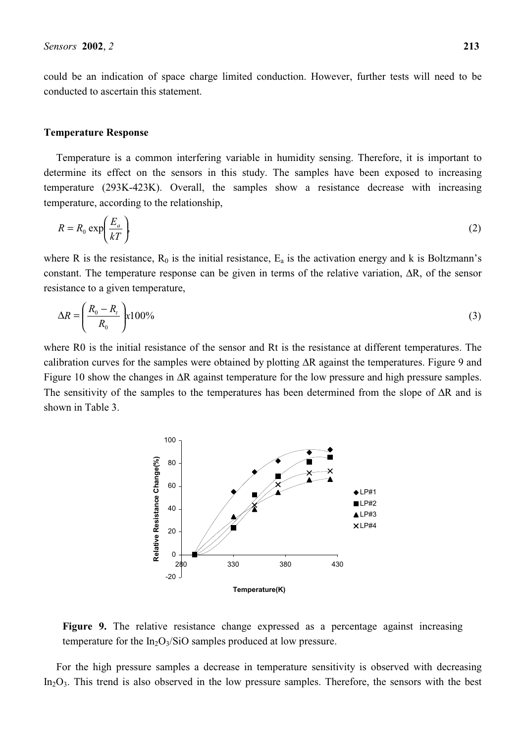could be an indication of space charge limited conduction. However, further tests will need to be conducted to ascertain this statement.

## **Temperature Response**

Temperature is a common interfering variable in humidity sensing. Therefore, it is important to determine its effect on the sensors in this study. The samples have been exposed to increasing temperature (293K-423K). Overall, the samples show a resistance decrease with increasing temperature, according to the relationship,

$$
R = R_0 \exp\left(\frac{E_a}{kT}\right) \tag{2}
$$

where R is the resistance,  $R_0$  is the initial resistance,  $E_a$  is the activation energy and k is Boltzmann's constant. The temperature response can be given in terms of the relative variation, ∆R, of the sensor resistance to a given temperature,

$$
\Delta R = \left(\frac{R_0 - R_t}{R_0}\right) \times 100\%
$$
\n(3)

where R0 is the initial resistance of the sensor and Rt is the resistance at different temperatures. The calibration curves for the samples were obtained by plotting ∆R against the temperatures. Figure 9 and Figure 10 show the changes in ∆R against temperature for the low pressure and high pressure samples. The sensitivity of the samples to the temperatures has been determined from the slope of ∆R and is shown in Table 3.



**Figure 9.** The relative resistance change expressed as a percentage against increasing temperature for the  $In_2O_3/SiO$  samples produced at low pressure.

For the high pressure samples a decrease in temperature sensitivity is observed with decreasing  $In_2O_3$ . This trend is also observed in the low pressure samples. Therefore, the sensors with the best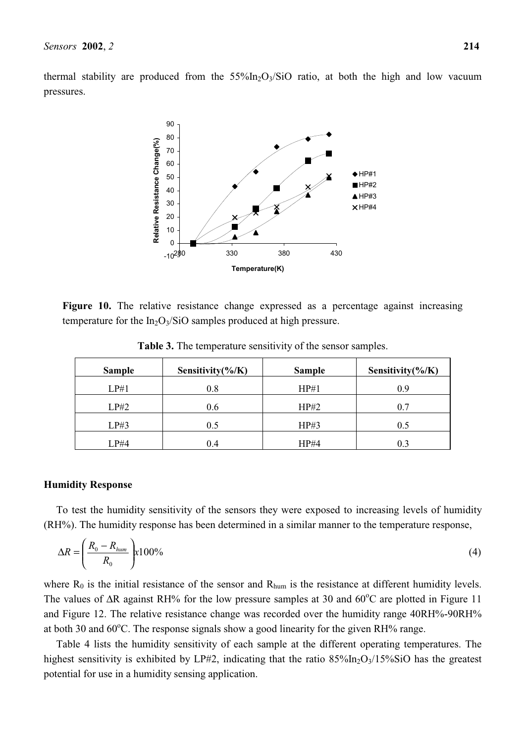thermal stability are produced from the  $55\%$ In<sub>2</sub>O<sub>3</sub>/SiO ratio, at both the high and low vacuum pressures.



Figure 10. The relative resistance change expressed as a percentage against increasing temperature for the  $In_2O_3/SiO$  samples produced at high pressure.

| <b>Sample</b> | Sensitivity $(\frac{6}{K})$ | <b>Sample</b> | Sensitivity( $\%$ /K) |
|---------------|-----------------------------|---------------|-----------------------|
| LP#1          | 0.8                         | HP#1          | 0.9                   |
| LP#2          | 0.6                         | HP#2          | 0.7                   |
| LP#3          | 0.5                         | HP#3          | 0.5                   |
| LP#4          | 0.4                         | HP#4          |                       |

**Table 3.** The temperature sensitivity of the sensor samples.

## **Humidity Response**

To test the humidity sensitivity of the sensors they were exposed to increasing levels of humidity (RH%). The humidity response has been determined in a similar manner to the temperature response,

$$
\Delta R = \left(\frac{R_0 - R_{hum}}{R_0}\right) \times 100\%
$$
\n<sup>(4)</sup>

where  $R_0$  is the initial resistance of the sensor and  $R_{\text{hum}}$  is the resistance at different humidity levels. The values of ∆R against RH% for the low pressure samples at 30 and 60°C are plotted in Figure 11 and Figure 12. The relative resistance change was recorded over the humidity range 40RH%-90RH% at both 30 and  $60^{\circ}$ C. The response signals show a good linearity for the given RH% range.

Table 4 lists the humidity sensitivity of each sample at the different operating temperatures. The highest sensitivity is exhibited by LP#2, indicating that the ratio  $85\frac{\text{m}}{\text{m}_2\text{O}_3}/15\frac{\text{m}}{\text{m}}\text{SiO}$  has the greatest potential for use in a humidity sensing application.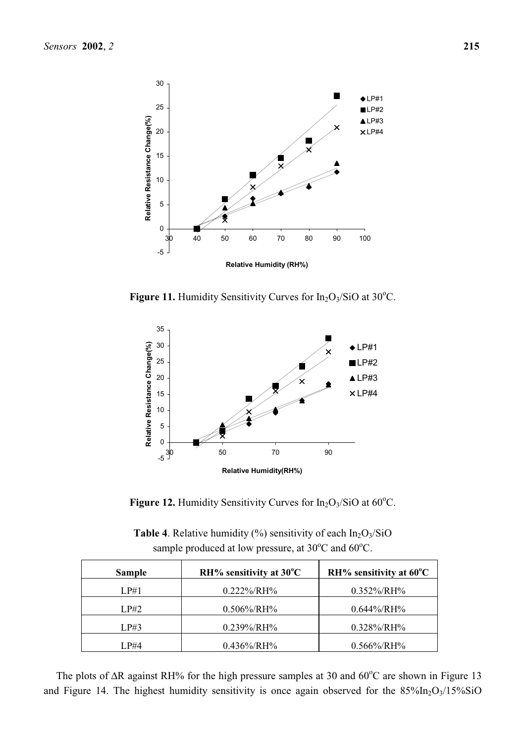

**Figure 11.** Humidity Sensitivity Curves for  $In_2O_3/SiO$  at  $30^{\circ}C$ .



**Figure 12.** Humidity Sensitivity Curves for  $In_2O_3/SiO$  at  $60^{\circ}C$ .

| <b>Table 4.</b> Relative humidity $\frac{9}{6}$ sensitivity of each $In_2O_3/SiO$ |
|-----------------------------------------------------------------------------------|
| sample produced at low pressure, at $30^{\circ}$ C and $60^{\circ}$ C.            |

| <b>Sample</b> | $RH\%$ sensitivity at 30 <sup>°</sup> C | RH% sensitivity at $60^{\circ}$ C |
|---------------|-----------------------------------------|-----------------------------------|
| LP#1          | $0.222\%/RH\%$                          | $0.352\%/RH\%$                    |
| LP#2          | $0.506\% / RH\%$                        | $0.644\% / RH\%$                  |
| LP#3          | $0.239\%/RH\%$                          | $0.328\%/RH\%$                    |
| LP#4          | $0.436\%/RH\%$                          | $0.566\% / RH\%$                  |

The plots of ∆R against RH% for the high pressure samples at 30 and 60°C are shown in Figure 13 and Figure 14. The highest humidity sensitivity is once again observed for the  $85\%$ In<sub>2</sub>O<sub>3</sub>/15%SiO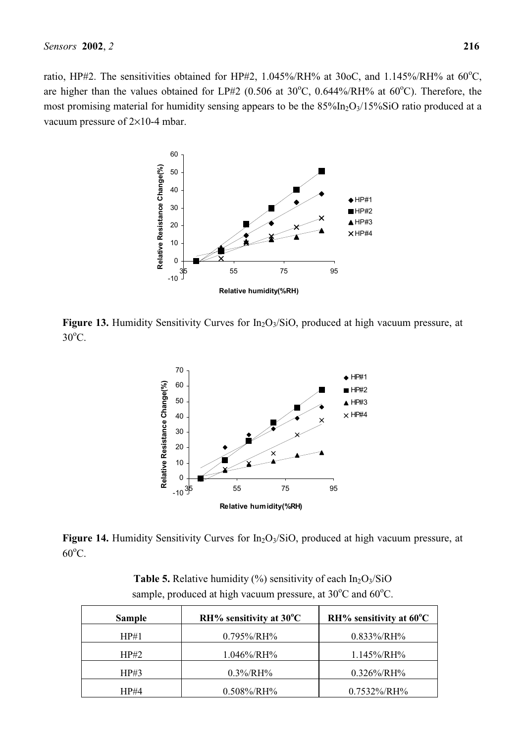ratio, HP#2. The sensitivities obtained for HP#2,  $1.045\%$ /RH% at 30oC, and  $1.145\%$ /RH% at 60<sup>o</sup>C, are higher than the values obtained for LP#2 (0.506 at  $30^{\circ}$ C, 0.644%/RH% at 60 $^{\circ}$ C). Therefore, the most promising material for humidity sensing appears to be the  $85\%$ In<sub>2</sub>O<sub>3</sub>/15%SiO ratio produced at a vacuum pressure of 2×10-4 mbar.



**Figure 13.** Humidity Sensitivity Curves for  $In_2O<sub>3</sub>/SiO$ , produced at high vacuum pressure, at  $30^{\circ}$ C.



**Figure 14.** Humidity Sensitivity Curves for In<sub>2</sub>O<sub>3</sub>/SiO, produced at high vacuum pressure, at  $60^{\circ}$ C.

| <b>Sample</b> | $RH\%$ sensitivity at 30 <sup>°</sup> C | $RH$ % sensitivity at 60 $^{\circ}$ C |
|---------------|-----------------------------------------|---------------------------------------|
| HP#1          | $0.795\% / RH\%$                        | $0.833\%/RH\%$                        |
| HP#2          | $1.046\%/RH\%$                          | $1.145\% / RH\%$                      |
| HP#3          | $0.3\% / RH\%$                          | $0.326\%/RH\%$                        |
| HP#4          | $0.508\%/RH\%$                          | $0.7532\%$ /RH%                       |

**Table 5.** Relative humidity  $\frac{0}{0}$  sensitivity of each  $In_2O_3/SiO$ sample, produced at high vacuum pressure, at  $30^{\circ}$ C and  $60^{\circ}$ C.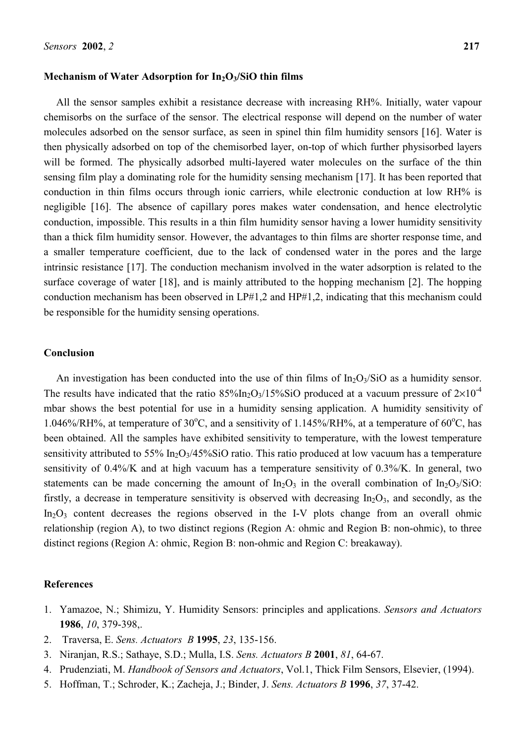# Mechanism of Water Adsorption for In<sub>2</sub>O<sub>3</sub>/SiO thin films

All the sensor samples exhibit a resistance decrease with increasing RH%. Initially, water vapour chemisorbs on the surface of the sensor. The electrical response will depend on the number of water molecules adsorbed on the sensor surface, as seen in spinel thin film humidity sensors [16]. Water is then physically adsorbed on top of the chemisorbed layer, on-top of which further physisorbed layers will be formed. The physically adsorbed multi-layered water molecules on the surface of the thin sensing film play a dominating role for the humidity sensing mechanism [17]. It has been reported that conduction in thin films occurs through ionic carriers, while electronic conduction at low RH% is negligible [16]. The absence of capillary pores makes water condensation, and hence electrolytic conduction, impossible. This results in a thin film humidity sensor having a lower humidity sensitivity than a thick film humidity sensor. However, the advantages to thin films are shorter response time, and a smaller temperature coefficient, due to the lack of condensed water in the pores and the large intrinsic resistance [17]. The conduction mechanism involved in the water adsorption is related to the surface coverage of water [18], and is mainly attributed to the hopping mechanism [2]. The hopping conduction mechanism has been observed in LP#1,2 and HP#1,2, indicating that this mechanism could be responsible for the humidity sensing operations.

# **Conclusion**

An investigation has been conducted into the use of thin films of  $In_2O_3/SiO$  as a humidity sensor. The results have indicated that the ratio  $85\frac{\text{m}}{\text{m}}\text{O}_3/15\frac{\text{m}}{\text{m}}\text{SiO}$  produced at a vacuum pressure of  $2\times10^{-4}$ mbar shows the best potential for use in a humidity sensing application. A humidity sensitivity of 1.046%/RH%, at temperature of 30°C, and a sensitivity of 1.145%/RH%, at a temperature of 60°C, has been obtained. All the samples have exhibited sensitivity to temperature, with the lowest temperature sensitivity attributed to 55%  $In_2O<sub>3</sub>/45\% SiO$  ratio. This ratio produced at low vacuum has a temperature sensitivity of 0.4%/K and at high vacuum has a temperature sensitivity of 0.3%/K. In general, two statements can be made concerning the amount of  $In_2O_3$  in the overall combination of  $In_2O_3/SiO$ : firstly, a decrease in temperature sensitivity is observed with decreasing  $In_2O_3$ , and secondly, as the  $In_2O_3$  content decreases the regions observed in the I-V plots change from an overall ohmic relationship (region A), to two distinct regions (Region A: ohmic and Region B: non-ohmic), to three distinct regions (Region A: ohmic, Region B: non-ohmic and Region C: breakaway).

## **References**

- 1. Yamazoe, N.; Shimizu, Y. Humidity Sensors: principles and applications. *Sensors and Actuators* **1986**, *10*, 379-398,.
- 2. Traversa, E. *Sens. Actuators B* **1995**, *23*, 135-156.
- 3. Niranjan, R.S.; Sathaye, S.D.; Mulla, I.S. *Sens. Actuators B* **2001**, *81*, 64-67.
- 4. Prudenziati, M. *Handbook of Sensors and Actuators*, Vol.1, Thick Film Sensors, Elsevier, (1994).
- 5. Hoffman, T.; Schroder, K.; Zacheja, J.; Binder, J. *Sens. Actuators B* **1996**, *37*, 37-42.